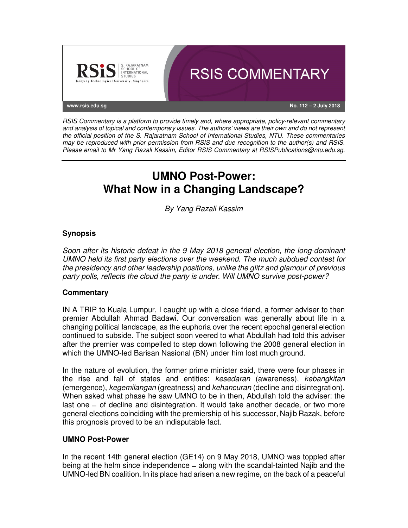

RSIS Commentary is a platform to provide timely and, where appropriate, policy-relevant commentary and analysis of topical and contemporary issues. The authors' views are their own and do not represent the official position of the S. Rajaratnam School of International Studies, NTU. These commentaries may be reproduced with prior permission from RSIS and due recognition to the author(s) and RSIS. Please email to Mr Yang Razali Kassim, Editor RSIS Commentary at RSISPublications@ntu.edu.sg.

# **UMNO Post-Power: What Now in a Changing Landscape?**

By Yang Razali Kassim

# **Synopsis**

Soon after its historic defeat in the 9 May 2018 general election, the long-dominant UMNO held its first party elections over the weekend. The much subdued contest for the presidency and other leadership positions, unlike the glitz and glamour of previous party polls, reflects the cloud the party is under. Will UMNO survive post-power?

### **Commentary**

IN A TRIP to Kuala Lumpur, I caught up with a close friend, a former adviser to then premier Abdullah Ahmad Badawi. Our conversation was generally about life in a changing political landscape, as the euphoria over the recent epochal general election continued to subside. The subject soon veered to what Abdullah had told this adviser after the premier was compelled to step down following the 2008 general election in which the UMNO-led Barisan Nasional (BN) under him lost much ground.

In the nature of evolution, the former prime minister said, there were four phases in the rise and fall of states and entities: kesedaran (awareness), kebangkitan (emergence), kegemilangan (greatness) and kehancuran (decline and disintegration). When asked what phase he saw UMNO to be in then, Abdullah told the adviser: the last one ̶ of decline and disintegration. It would take another decade, or two more general elections coinciding with the premiership of his successor, Najib Razak, before this prognosis proved to be an indisputable fact.

### **UMNO Post-Power**

In the recent 14th general election (GE14) on 9 May 2018, UMNO was toppled after being at the helm since independence ̶ along with the scandal-tainted Najib and the UMNO-led BN coalition. In its place had arisen a new regime, on the back of a peaceful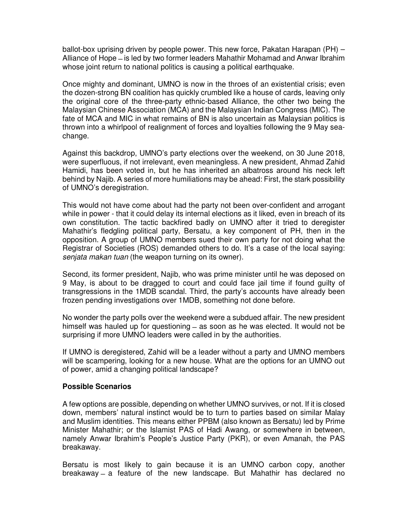ballot-box uprising driven by people power. This new force, Pakatan Harapan (PH) – Alliance of Hope ̶ is led by two former leaders Mahathir Mohamad and Anwar Ibrahim whose joint return to national politics is causing a political earthquake.

Once mighty and dominant, UMNO is now in the throes of an existential crisis; even the dozen-strong BN coalition has quickly crumbled like a house of cards, leaving only the original core of the three-party ethnic-based Alliance, the other two being the Malaysian Chinese Association (MCA) and the Malaysian Indian Congress (MIC). The fate of MCA and MIC in what remains of BN is also uncertain as Malaysian politics is thrown into a whirlpool of realignment of forces and loyalties following the 9 May seachange.

Against this backdrop, UMNO's party elections over the weekend, on 30 June 2018, were superfluous, if not irrelevant, even meaningless. A new president, Ahmad Zahid Hamidi, has been voted in, but he has inherited an albatross around his neck left behind by Najib. A series of more humiliations may be ahead: First, the stark possibility of UMNO's deregistration.

This would not have come about had the party not been over-confident and arrogant while in power - that it could delay its internal elections as it liked, even in breach of its own constitution. The tactic backfired badly on UMNO after it tried to deregister Mahathir's fledgling political party, Bersatu, a key component of PH, then in the opposition. A group of UMNO members sued their own party for not doing what the Registrar of Societies (ROS) demanded others to do. It's a case of the local saying: senjata makan tuan (the weapon turning on its owner).

Second, its former president, Najib, who was prime minister until he was deposed on 9 May, is about to be dragged to court and could face jail time if found guilty of transgressions in the 1MDB scandal. Third, the party's accounts have already been frozen pending investigations over 1MDB, something not done before.

No wonder the party polls over the weekend were a subdued affair. The new president himself was hauled up for questioning – as soon as he was elected. It would not be surprising if more UMNO leaders were called in by the authorities.

If UMNO is deregistered, Zahid will be a leader without a party and UMNO members will be scampering, looking for a new house. What are the options for an UMNO out of power, amid a changing political landscape?

#### **Possible Scenarios**

A few options are possible, depending on whether UMNO survives, or not. If it is closed down, members' natural instinct would be to turn to parties based on similar Malay and Muslim identities. This means either PPBM (also known as Bersatu) led by Prime Minister Mahathir; or the Islamist PAS of Hadi Awang, or somewhere in between, namely Anwar Ibrahim's People's Justice Party (PKR), or even Amanah, the PAS breakaway.

Bersatu is most likely to gain because it is an UMNO carbon copy, another breakaway ̶ a feature of the new landscape. But Mahathir has declared no